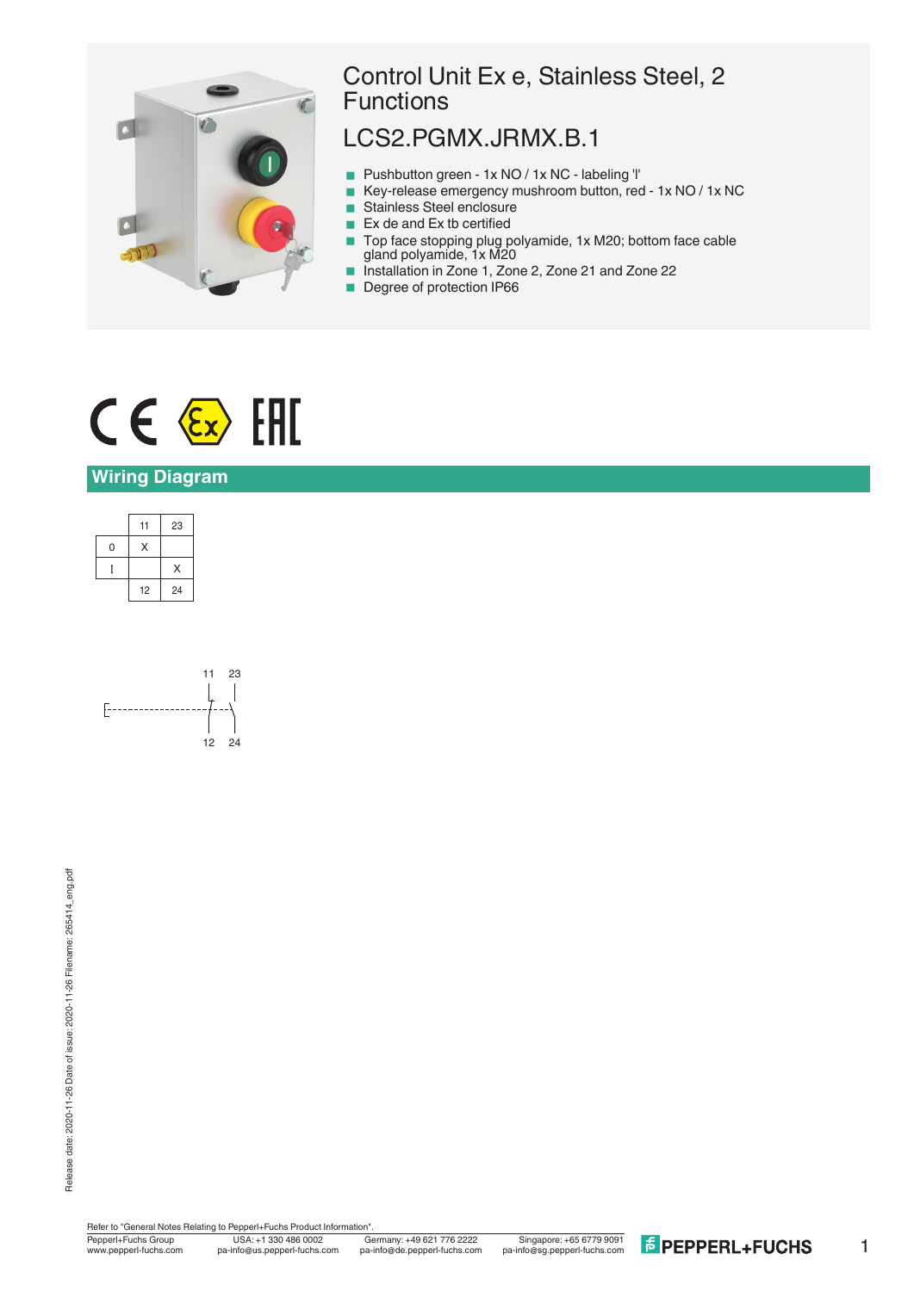

## Control Unit Ex e, Stainless Steel, 2 **Functions**

## LCS2.PGMX.JRMX.B.1

- Pushbutton green 1x NO / 1x NC labeling 'l'
- Key-release emergency mushroom button, red 1x NO / 1x NC
- Stainless Steel enclosure
- $\blacksquare$  Ex de and Ex tb certified
- Top face stopping plug polyamide, 1x M20; bottom face cable gland polyamide, 1x M20
- Installation in Zone 1, Zone 2, Zone 21 and Zone 22
- Degree of protection IP66

# $C \in \langle \overline{\epsilon_x} \rangle$  [FII]

### **Wiring Diagram**





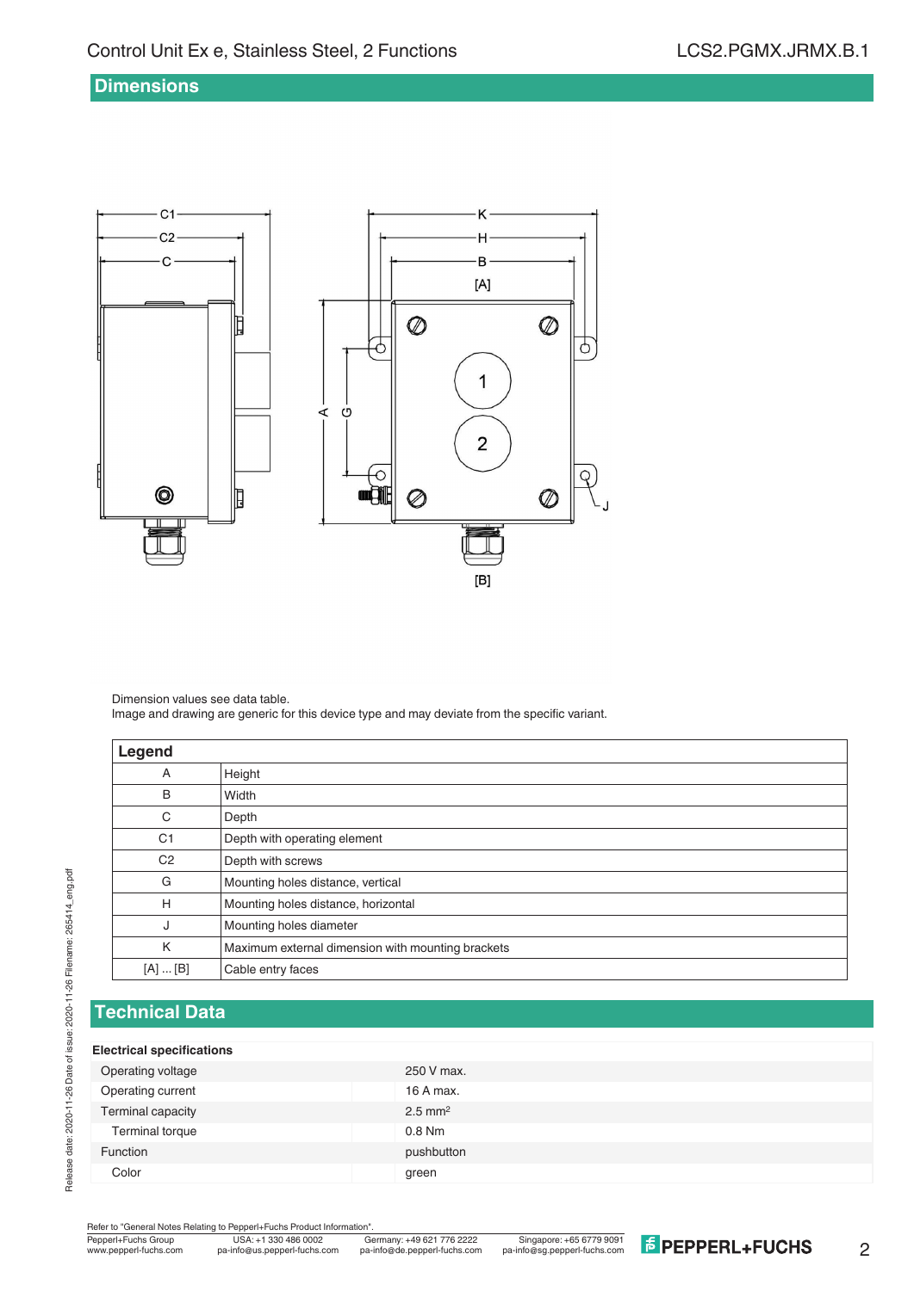#### **Dimensions**



Dimension values see data table.

Image and drawing are generic for this device type and may deviate from the specific variant.

| Legend         |                                                   |
|----------------|---------------------------------------------------|
| Α              | Height                                            |
| B              | Width                                             |
| C              | Depth                                             |
| C <sub>1</sub> | Depth with operating element                      |
| C <sub>2</sub> | Depth with screws                                 |
| G              | Mounting holes distance, vertical                 |
| H              | Mounting holes distance, horizontal               |
| J              | Mounting holes diameter                           |
| K              | Maximum external dimension with mounting brackets |
| [A]  [B]       | Cable entry faces                                 |

## **Technical Data**

Release date: 2020-11-26 Date of issue: 2020-11-26 Filename: 265414\_eng.pdf

Release date: 2020-11-26 Date of issue: 2020-11-26 Filename: 265414\_eng.pdf

#### **Electrical specifications**

| Operating voltage | 250 V max.            |
|-------------------|-----------------------|
| Operating current | 16 A max.             |
| Terminal capacity | $2.5$ mm <sup>2</sup> |
| Terminal torque   | $0.8$ Nm              |
| Function          | pushbutton            |
| Color             | green                 |
|                   |                       |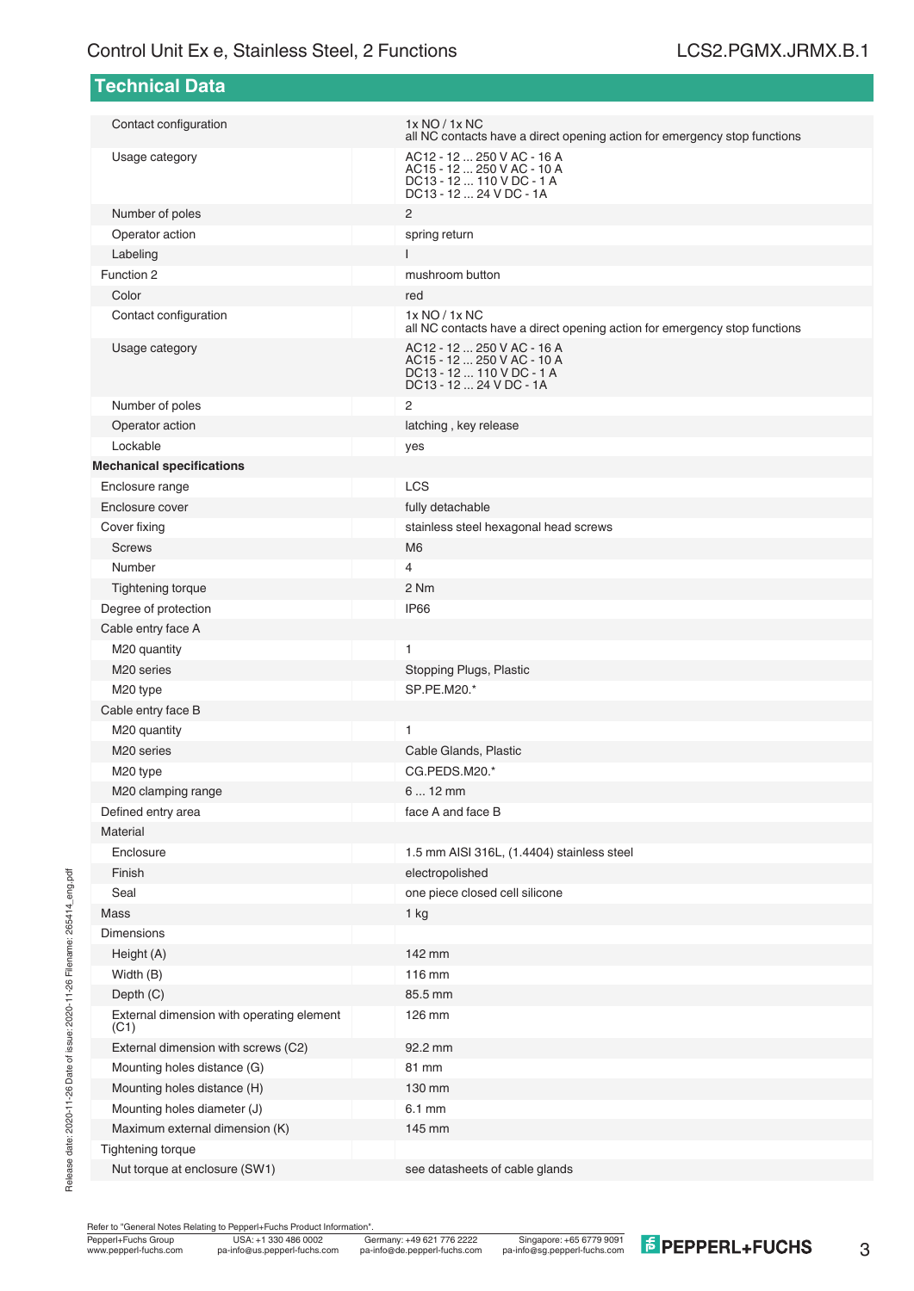| <b>Technical Data</b>                             |                                                                                                                  |  |  |  |
|---------------------------------------------------|------------------------------------------------------------------------------------------------------------------|--|--|--|
| Contact configuration                             | 1x NO / 1x NC<br>all NC contacts have a direct opening action for emergency stop functions                       |  |  |  |
| Usage category                                    | AC12 - 12  250 V AC - 16 A<br>AC15 - 12  250 V AC - 10 A<br>DC13 - 12  110 V DC - 1 A<br>DC13 - 12  24 V DC - 1A |  |  |  |
| Number of poles                                   | 2                                                                                                                |  |  |  |
| Operator action                                   | spring return                                                                                                    |  |  |  |
| Labeling                                          | $\mathsf{I}$                                                                                                     |  |  |  |
| Function 2                                        | mushroom button                                                                                                  |  |  |  |
| Color                                             | red                                                                                                              |  |  |  |
| Contact configuration                             | 1x NO / 1x NC<br>all NC contacts have a direct opening action for emergency stop functions                       |  |  |  |
| Usage category                                    | AC12 - 12  250 V AC - 16 A<br>AC15 - 12  250 V AC - 10 A<br>DC13 - 12  110 V DC - 1 A<br>DC13 - 12  24 V DC - 1A |  |  |  |
| Number of poles                                   | 2                                                                                                                |  |  |  |
| Operator action                                   | latching, key release                                                                                            |  |  |  |
| Lockable                                          | yes                                                                                                              |  |  |  |
| <b>Mechanical specifications</b>                  |                                                                                                                  |  |  |  |
| Enclosure range                                   | <b>LCS</b>                                                                                                       |  |  |  |
| Enclosure cover                                   | fully detachable                                                                                                 |  |  |  |
| Cover fixing                                      | stainless steel hexagonal head screws                                                                            |  |  |  |
| <b>Screws</b>                                     | M <sub>6</sub>                                                                                                   |  |  |  |
| Number                                            | 4                                                                                                                |  |  |  |
| Tightening torque                                 | 2 Nm                                                                                                             |  |  |  |
| Degree of protection                              | <b>IP66</b>                                                                                                      |  |  |  |
| Cable entry face A                                |                                                                                                                  |  |  |  |
| M20 quantity                                      | 1                                                                                                                |  |  |  |
| M <sub>20</sub> series                            | Stopping Plugs, Plastic                                                                                          |  |  |  |
| M20 type                                          | SP.PE.M20.*                                                                                                      |  |  |  |
| Cable entry face B                                |                                                                                                                  |  |  |  |
| M20 quantity                                      | 1                                                                                                                |  |  |  |
| M <sub>20</sub> series                            | Cable Glands, Plastic                                                                                            |  |  |  |
| M20 type                                          | CG.PEDS.M20.*                                                                                                    |  |  |  |
| M20 clamping range                                | 6  12 mm                                                                                                         |  |  |  |
| Defined entry area                                | face A and face B                                                                                                |  |  |  |
| Material                                          |                                                                                                                  |  |  |  |
| Enclosure                                         | 1.5 mm AISI 316L, (1.4404) stainless steel                                                                       |  |  |  |
| Finish                                            | electropolished                                                                                                  |  |  |  |
| Seal                                              | one piece closed cell silicone                                                                                   |  |  |  |
| Mass                                              | 1 kg                                                                                                             |  |  |  |
| <b>Dimensions</b>                                 |                                                                                                                  |  |  |  |
| Height (A)                                        | 142 mm                                                                                                           |  |  |  |
| Width (B)                                         | 116 mm                                                                                                           |  |  |  |
| Depth (C)                                         | 85.5 mm                                                                                                          |  |  |  |
| External dimension with operating element<br>(C1) | 126 mm                                                                                                           |  |  |  |
| External dimension with screws (C2)               | 92.2 mm                                                                                                          |  |  |  |
| Mounting holes distance (G)                       | 81 mm                                                                                                            |  |  |  |
| Mounting holes distance (H)                       | 130 mm                                                                                                           |  |  |  |
| Mounting holes diameter (J)                       | 6.1 mm                                                                                                           |  |  |  |
| Maximum external dimension (K)                    | 145 mm                                                                                                           |  |  |  |
| Tightening torque                                 |                                                                                                                  |  |  |  |
| Nut torque at enclosure (SW1)                     | see datasheets of cable glands                                                                                   |  |  |  |

Release date: 2020-11-26 Date of issue: 2020-11-26 Filename: 265414\_eng.pdf Release date: 2020-11-26 Date of issue: 2020-11-26 Filename: 265414\_eng.pdf

Refer to "General Notes Relating to Pepperl+Fuchs Product Information".